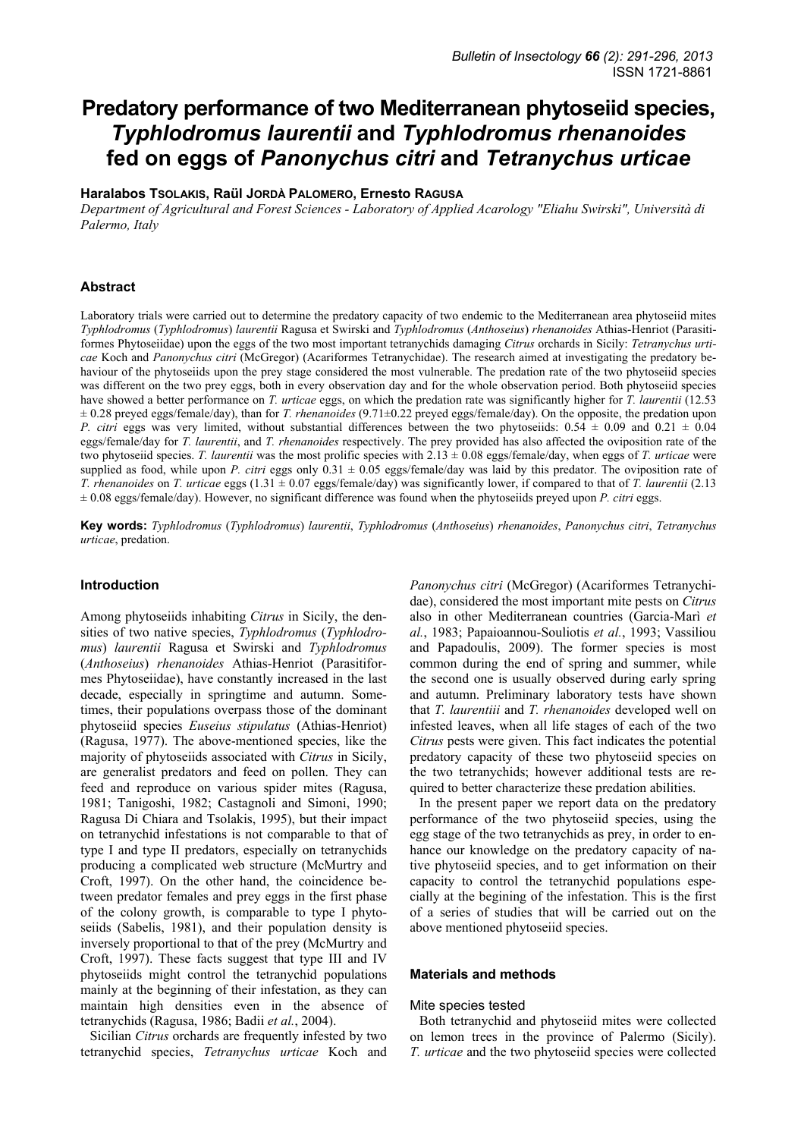# **Predatory performance of two Mediterranean phytoseiid species,**  *Typhlodromus laurentii* **and** *Typhlodromus rhenanoides*  **fed on eggs of** *Panonychus citri* **and** *Tetranychus urticae*

#### **Haralabos TSOLAKIS, Raül JORDÀ PALOMERO, Ernesto RAGUSA**

*Department of Agricultural and Forest Sciences - Laboratory of Applied Acarology "Eliahu Swirski", Università di Palermo, Italy* 

#### **Abstract**

Laboratory trials were carried out to determine the predatory capacity of two endemic to the Mediterranean area phytoseiid mites *Typhlodromus* (*Typhlodromus*) *laurentii* Ragusa et Swirski and *Typhlodromus* (*Anthoseius*) *rhenanoides* Athias-Henriot (Parasitiformes Phytoseiidae) upon the eggs of the two most important tetranychids damaging *Citrus* orchards in Sicily: *Tetranychus urticae* Koch and *Panonychus citri* (McGregor) (Acariformes Tetranychidae). The research aimed at investigating the predatory behaviour of the phytoseiids upon the prey stage considered the most vulnerable. The predation rate of the two phytoseiid species was different on the two prey eggs, both in every observation day and for the whole observation period. Both phytoseiid species have showed a better performance on *T. urticae* eggs, on which the predation rate was significantly higher for *T. laurentii* (12.53 ± 0.28 preyed eggs/female/day), than for *T. rhenanoides* (9.71±0.22 preyed eggs/female/day). On the opposite, the predation upon *P. citri* eggs was very limited, without substantial differences between the two phytoseiids:  $0.54 \pm 0.09$  and  $0.21 \pm 0.04$ eggs/female/day for *T. laurentii*, and *T. rhenanoides* respectively. The prey provided has also affected the oviposition rate of the two phytoseiid species. *T. laurentii* was the most prolific species with 2.13 ± 0.08 eggs/female/day, when eggs of *T. urticae* were supplied as food, while upon *P. citri* eggs only  $0.31 \pm 0.05$  eggs/female/day was laid by this predator. The oviposition rate of *T. rhenanoides* on *T. urticae* eggs (1.31 ± 0.07 eggs/female/day) was significantly lower, if compared to that of *T. laurentii* (2.13 ± 0.08 eggs/female/day). However, no significant difference was found when the phytoseiids preyed upon *P. citri* eggs.

**Key words:** *Typhlodromus* (*Typhlodromus*) *laurentii*, *Typhlodromus* (*Anthoseius*) *rhenanoides*, *Panonychus citri*, *Tetranychus urticae*, predation.

## **Introduction**

Among phytoseiids inhabiting *Citrus* in Sicily, the densities of two native species, *Typhlodromus* (*Typhlodromus*) *laurentii* Ragusa et Swirski and *Typhlodromus*  (*Anthoseius*) *rhenanoides* Athias-Henriot (Parasitiformes Phytoseiidae), have constantly increased in the last decade, especially in springtime and autumn. Sometimes, their populations overpass those of the dominant phytoseiid species *Euseius stipulatus* (Athias-Henriot) (Ragusa, 1977). The above-mentioned species, like the majority of phytoseiids associated with *Citrus* in Sicily, are generalist predators and feed on pollen. They can feed and reproduce on various spider mites (Ragusa, 1981; Tanigoshi, 1982; Castagnoli and Simoni, 1990; Ragusa Di Chiara and Tsolakis, 1995), but their impact on tetranychid infestations is not comparable to that of type I and type II predators, especially on tetranychids producing a complicated web structure (McMurtry and Croft, 1997). On the other hand, the coincidence between predator females and prey eggs in the first phase of the colony growth, is comparable to type I phytoseiids (Sabelis, 1981), and their population density is inversely proportional to that of the prey (McMurtry and Croft, 1997). These facts suggest that type III and IV phytoseiids might control the tetranychid populations mainly at the beginning of their infestation, as they can maintain high densities even in the absence of tetranychids (Ragusa, 1986; Badii *et al.*, 2004).

Sicilian *Citrus* orchards are frequently infested by two tetranychid species, *Tetranychus urticae* Koch and *Panonychus citri* (McGregor) (Acariformes Tetranychidae), considered the most important mite pests on *Citrus* also in other Mediterranean countries (Garcia-Marì *et al.*, 1983; Papaioannou-Souliotis *et al.*, 1993; Vassiliou and Papadoulis, 2009). The former species is most common during the end of spring and summer, while the second one is usually observed during early spring and autumn. Preliminary laboratory tests have shown that *T. laurentiii* and *T. rhenanoides* developed well on infested leaves, when all life stages of each of the two *Citrus* pests were given. This fact indicates the potential predatory capacity of these two phytoseiid species on the two tetranychids; however additional tests are required to better characterize these predation abilities.

In the present paper we report data on the predatory performance of the two phytoseiid species, using the egg stage of the two tetranychids as prey, in order to enhance our knowledge on the predatory capacity of native phytoseiid species, and to get information on their capacity to control the tetranychid populations especially at the begining of the infestation. This is the first of a series of studies that will be carried out on the above mentioned phytoseiid species.

#### **Materials and methods**

#### Mite species tested

Both tetranychid and phytoseiid mites were collected on lemon trees in the province of Palermo (Sicily). *T. urticae* and the two phytoseiid species were collected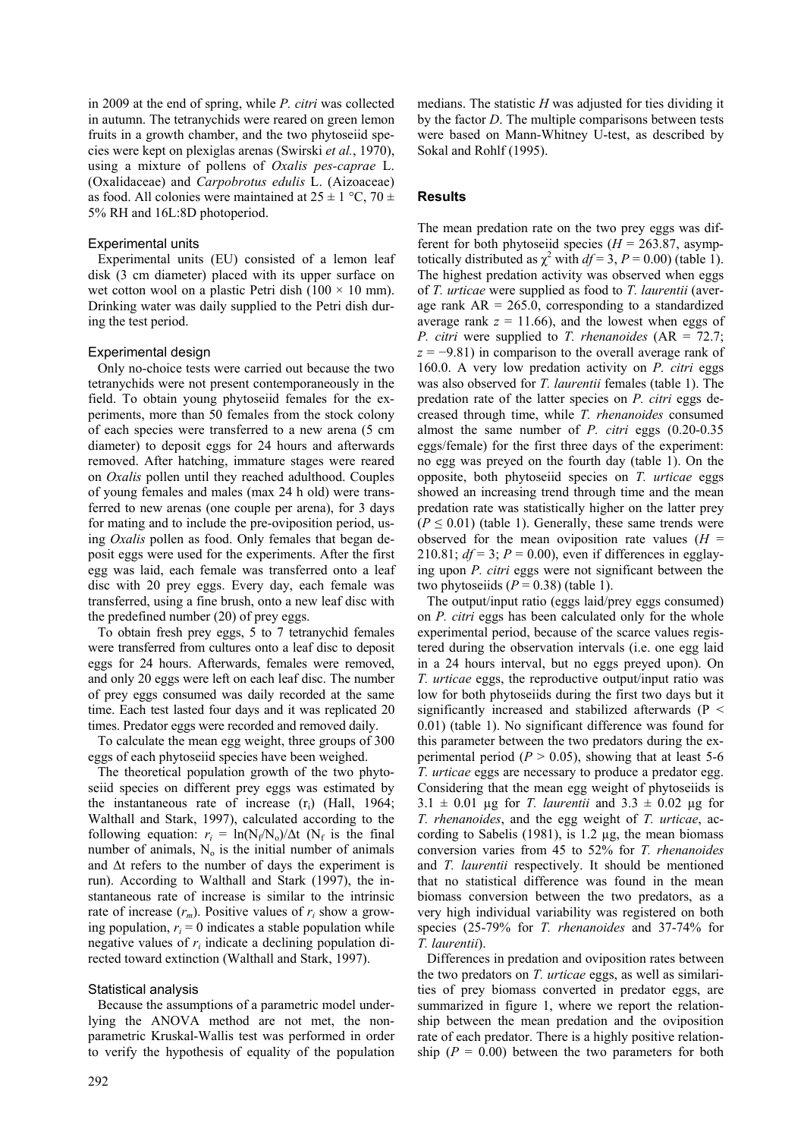in 2009 at the end of spring, while *P. citri* was collected in autumn. The tetranychids were reared on green lemon fruits in a growth chamber, and the two phytoseiid species were kept on plexiglas arenas (Swirski *et al.*, 1970), using a mixture of pollens of *Oxalis pes-caprae* L. (Oxalidaceae) and *Carpobrotus edulis* L. (Aizoaceae) as food. All colonies were maintained at  $25 \pm 1$  °C, 70  $\pm$ 5% RH and 16L:8D photoperiod.

# Experimental units

Experimental units (EU) consisted of a lemon leaf disk (3 cm diameter) placed with its upper surface on wet cotton wool on a plastic Petri dish ( $100 \times 10$  mm). Drinking water was daily supplied to the Petri dish during the test period.

# Experimental design

Only no-choice tests were carried out because the two tetranychids were not present contemporaneously in the field. To obtain young phytoseiid females for the experiments, more than 50 females from the stock colony of each species were transferred to a new arena (5 cm diameter) to deposit eggs for 24 hours and afterwards removed. After hatching, immature stages were reared on *Oxalis* pollen until they reached adulthood. Couples of young females and males (max 24 h old) were transferred to new arenas (one couple per arena), for 3 days for mating and to include the pre-oviposition period, using *Oxalis* pollen as food. Only females that began deposit eggs were used for the experiments. After the first egg was laid, each female was transferred onto a leaf disc with 20 prey eggs. Every day, each female was transferred, using a fine brush, onto a new leaf disc with the predefined number (20) of prey eggs.

To obtain fresh prey eggs, 5 to 7 tetranychid females were transferred from cultures onto a leaf disc to deposit eggs for 24 hours. Afterwards, females were removed, and only 20 eggs were left on each leaf disc. The number of prey eggs consumed was daily recorded at the same time. Each test lasted four days and it was replicated 20 times. Predator eggs were recorded and removed daily.

To calculate the mean egg weight, three groups of 300 eggs of each phytoseiid species have been weighed.

The theoretical population growth of the two phytoseiid species on different prey eggs was estimated by the instantaneous rate of increase  $(r_i)$  (Hall, 1964; Walthall and Stark, 1997), calculated according to the following equation:  $r_i = \ln(N_f/N_o)/\Delta t$  (N<sub>f</sub> is the final number of animals,  $N_0$  is the initial number of animals and ∆t refers to the number of days the experiment is run). According to Walthall and Stark (1997), the instantaneous rate of increase is similar to the intrinsic rate of increase  $(r_m)$ . Positive values of  $r_i$  show a growing population,  $r_i = 0$  indicates a stable population while negative values of *ri* indicate a declining population directed toward extinction (Walthall and Stark, 1997).

# Statistical analysis

Because the assumptions of a parametric model underlying the ANOVA method are not met, the nonparametric Kruskal-Wallis test was performed in order to verify the hypothesis of equality of the population medians. The statistic *H* was adjusted for ties dividing it by the factor *D*. The multiple comparisons between tests were based on Mann-Whitney U-test, as described by Sokal and Rohlf (1995).

# **Results**

The mean predation rate on the two prey eggs was different for both phytoseiid species ( $H = 263.87$ , asymptotically distributed as  $\chi^2$  with  $df = 3$ ,  $P = 0.00$ ) (table 1). The highest predation activity was observed when eggs of *T. urticae* were supplied as food to *T. laurentii* (average rank  $AR = 265.0$ , corresponding to a standardized average rank  $z = 11.66$ ), and the lowest when eggs of *P. citri* were supplied to *T. rhenanoides* (AR = 72.7;  $z = -9.81$ ) in comparison to the overall average rank of 160.0. A very low predation activity on *P. citri* eggs was also observed for *T. laurentii* females (table 1). The predation rate of the latter species on *P. citri* eggs decreased through time, while *T. rhenanoides* consumed almost the same number of *P. citri* eggs (0.20-0.35 eggs/female) for the first three days of the experiment: no egg was preyed on the fourth day (table 1). On the opposite, both phytoseiid species on *T. urticae* eggs showed an increasing trend through time and the mean predation rate was statistically higher on the latter prey  $(P \le 0.01)$  (table 1). Generally, these same trends were observed for the mean oviposition rate values  $(H =$ 210.81;  $df = 3$ ;  $P = 0.00$ ), even if differences in egglaying upon *P. citri* eggs were not significant between the two phytoseiids  $(P = 0.38)$  (table 1).

The output/input ratio (eggs laid/prey eggs consumed) on *P. citri* eggs has been calculated only for the whole experimental period, because of the scarce values registered during the observation intervals (i.e. one egg laid in a 24 hours interval, but no eggs preyed upon). On *T. urticae* eggs, the reproductive output/input ratio was low for both phytoseiids during the first two days but it significantly increased and stabilized afterwards (P < 0.01) (table 1). No significant difference was found for this parameter between the two predators during the experimental period  $(P > 0.05)$ , showing that at least 5-6 *T. urticae* eggs are necessary to produce a predator egg. Considering that the mean egg weight of phytoseiids is  $3.1 \pm 0.01$  µg for *T. laurentii* and  $3.3 \pm 0.02$  µg for *T. rhenanoides*, and the egg weight of *T. urticae*, according to Sabelis (1981), is 1.2 µg, the mean biomass conversion varies from 45 to 52% for *T. rhenanoides* and *T. laurentii* respectively. It should be mentioned that no statistical difference was found in the mean biomass conversion between the two predators, as a very high individual variability was registered on both species (25-79% for *T. rhenanoides* and 37-74% for *T. laurentii*).

Differences in predation and oviposition rates between the two predators on *T. urticae* eggs, as well as similarities of prey biomass converted in predator eggs, are summarized in figure 1, where we report the relationship between the mean predation and the oviposition rate of each predator. There is a highly positive relationship  $(P = 0.00)$  between the two parameters for both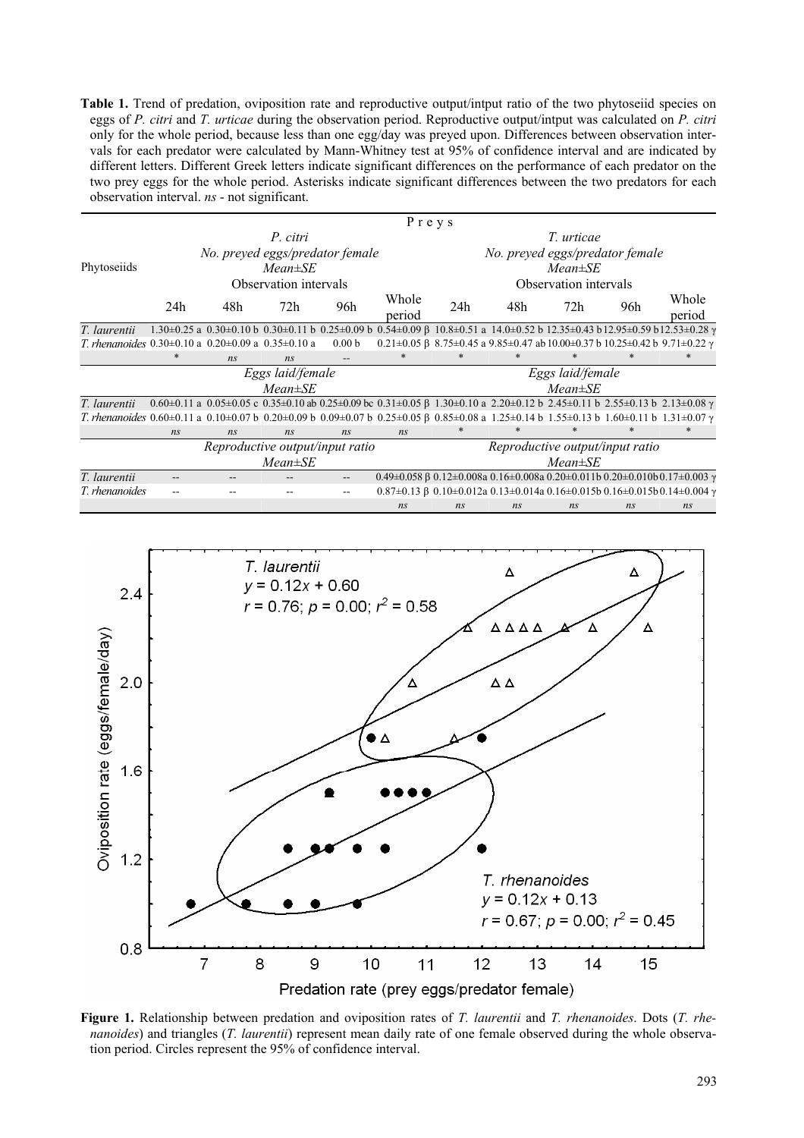**Table 1.** Trend of predation, oviposition rate and reproductive output/intput ratio of the two phytoseiid species on eggs of *P. citri* and *T. urticae* during the observation period. Reproductive output/intput was calculated on *P. citri*  only for the whole period, because less than one egg/day was preyed upon. Differences between observation intervals for each predator were calculated by Mann-Whitney test at 95% of confidence interval and are indicated by different letters. Different Greek letters indicate significant differences on the performance of each predator on the two prey eggs for the whole period. Asterisks indicate significant differences between the two predators for each observation interval. *ns* - not significant.

|                                                                                                                                                                                       | Preys                           |     |     |                   |                 |                                 |     |                                                                                                                                                                                 |     |                                                                                                                                                                    |
|---------------------------------------------------------------------------------------------------------------------------------------------------------------------------------------|---------------------------------|-----|-----|-------------------|-----------------|---------------------------------|-----|---------------------------------------------------------------------------------------------------------------------------------------------------------------------------------|-----|--------------------------------------------------------------------------------------------------------------------------------------------------------------------|
|                                                                                                                                                                                       | P. citri                        |     |     |                   |                 | T. urticae                      |     |                                                                                                                                                                                 |     |                                                                                                                                                                    |
|                                                                                                                                                                                       | No. preyed eggs/predator female |     |     |                   |                 | No. preyed eggs/predator female |     |                                                                                                                                                                                 |     |                                                                                                                                                                    |
| Phytoseiids                                                                                                                                                                           | $Mean \pm SE$                   |     |     |                   |                 | $Mean \pm SE$                   |     |                                                                                                                                                                                 |     |                                                                                                                                                                    |
|                                                                                                                                                                                       | Observation intervals           |     |     |                   |                 | Observation intervals           |     |                                                                                                                                                                                 |     |                                                                                                                                                                    |
|                                                                                                                                                                                       | 24h                             | 48h | 72h | 96h               | Whole<br>period | 24h                             | 48h | 72h                                                                                                                                                                             | 96h | Whole<br>period                                                                                                                                                    |
| T. laurentii                                                                                                                                                                          |                                 |     |     |                   |                 |                                 |     |                                                                                                                                                                                 |     | $1.30\pm0.25$ a $0.30\pm0.10$ b $0.30\pm0.11$ b $0.25\pm0.09$ b $0.54\pm0.09$ β $10.8\pm0.51$ a $14.0\pm0.52$ b $12.35\pm0.43$ b $12.95\pm0.59$ b $12.53\pm0.28$ γ |
| T. rhenanoides $0.30\pm0.10$ a $0.20\pm0.09$ a $0.35\pm0.10$ a                                                                                                                        |                                 |     |     | 0.00 <sub>b</sub> |                 |                                 |     | $0.21 \pm 0.05$ $\beta$ 8.75 $\pm$ 0.45 a 9.85 $\pm$ 0.47 ab 10.00 $\pm$ 0.37 b 10.25 $\pm$ 0.42 b 9.71 $\pm$ 0.22 $\gamma$                                                     |     |                                                                                                                                                                    |
|                                                                                                                                                                                       | ∗                               | ns  | ns  |                   | $*$             |                                 |     |                                                                                                                                                                                 |     |                                                                                                                                                                    |
|                                                                                                                                                                                       | Eggs laid/female                |     |     |                   |                 | Eggs laid/female                |     |                                                                                                                                                                                 |     |                                                                                                                                                                    |
|                                                                                                                                                                                       | $Mean \pm SE$                   |     |     |                   |                 | $Mean \pm SE$                   |     |                                                                                                                                                                                 |     |                                                                                                                                                                    |
| T. laurentii                                                                                                                                                                          |                                 |     |     |                   |                 |                                 |     | $0.60\pm0.11$ a $0.05\pm0.05$ c $0.35\pm0.10$ ab $0.25\pm0.09$ bc $0.31\pm0.05$ $\beta$ 1.30 $\pm0.10$ a $2.20\pm0.12$ b $2.45\pm0.11$ b $2.55\pm0.13$ b $2.13\pm0.08$ $\gamma$ |     |                                                                                                                                                                    |
| T. rhenanoides $0.60\pm0.11$ a $0.10\pm0.07$ b $0.20\pm0.09$ b $0.09\pm0.07$ b $0.25\pm0.05$ β $0.85\pm0.08$ a $1.25\pm0.14$ b $1.55\pm0.13$ b $1.60\pm0.11$ b $1.31\pm0.07$ $\gamma$ |                                 |     |     |                   |                 |                                 |     |                                                                                                                                                                                 |     |                                                                                                                                                                    |
|                                                                                                                                                                                       | ns                              | ns  | ns  | ns                | ns              |                                 |     |                                                                                                                                                                                 |     | $\ast$                                                                                                                                                             |
|                                                                                                                                                                                       | Reproductive output/input ratio |     |     |                   |                 | Reproductive output/input ratio |     |                                                                                                                                                                                 |     |                                                                                                                                                                    |
|                                                                                                                                                                                       | $Mean \pm SE$                   |     |     |                   |                 | $Mean \pm SE$                   |     |                                                                                                                                                                                 |     |                                                                                                                                                                    |
| T. laurentii                                                                                                                                                                          |                                 |     |     |                   |                 |                                 |     |                                                                                                                                                                                 |     | 0.49±0.058 β 0.12±0.008a 0.16±0.008a 0.20±0.011b 0.20±0.010b 0.17±0.003 γ                                                                                          |
| T. rhenanoides                                                                                                                                                                        |                                 |     |     |                   |                 |                                 |     |                                                                                                                                                                                 |     | $0.87\pm0.13$ $\beta$ 0.10 $\pm$ 0.012a 0.13 $\pm$ 0.014a 0.16 $\pm$ 0.015b 0.16 $\pm$ 0.015b 0.14 $\pm$ 0.004 $\gamma$                                            |
|                                                                                                                                                                                       |                                 |     |     |                   | ns              | ns                              | ns  | ns                                                                                                                                                                              | ns  | ns                                                                                                                                                                 |



**Figure 1.** Relationship between predation and oviposition rates of *T. laurentii* and *T. rhenanoides*. Dots (*T. rhenanoides*) and triangles (*T. laurentii*) represent mean daily rate of one female observed during the whole observation period. Circles represent the 95% of confidence interval.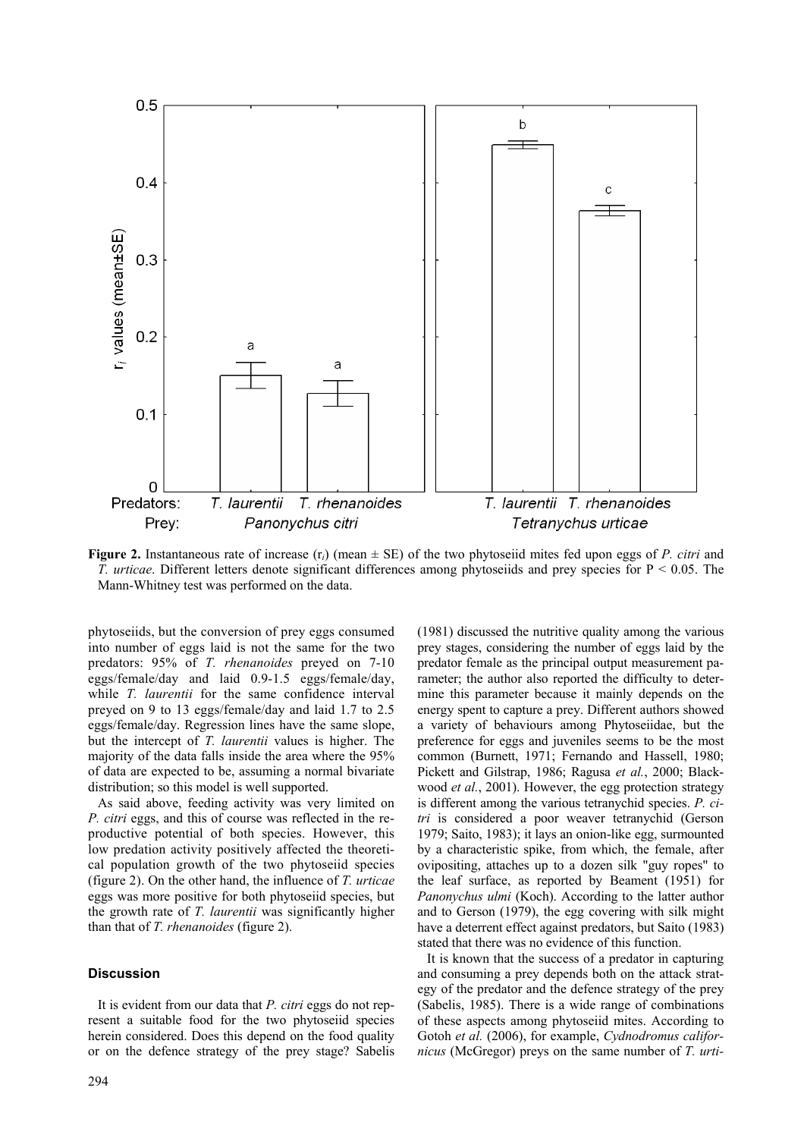

**Figure 2.** Instantaneous rate of increase  $(r_i)$  (mean  $\pm$  SE) of the two phytoseiid mites fed upon eggs of *P. citri* and *T. urticae*. Different letters denote significant differences among phytoseiids and prey species for P < 0.05. The Mann-Whitney test was performed on the data.

phytoseiids, but the conversion of prey eggs consumed into number of eggs laid is not the same for the two predators: 95% of *T. rhenanoides* preyed on 7-10 eggs/female/day and laid 0.9-1.5 eggs/female/day, while *T. laurentii* for the same confidence interval preyed on 9 to 13 eggs/female/day and laid 1.7 to 2.5 eggs/female/day. Regression lines have the same slope, but the intercept of *T. laurentii* values is higher. The majority of the data falls inside the area where the 95% of data are expected to be, assuming a normal bivariate distribution; so this model is well supported.

As said above, feeding activity was very limited on *P. citri* eggs, and this of course was reflected in the reproductive potential of both species. However, this low predation activity positively affected the theoretical population growth of the two phytoseiid species (figure 2). On the other hand, the influence of *T. urticae* eggs was more positive for both phytoseiid species, but the growth rate of *T. laurentii* was significantly higher than that of *T. rhenanoides* (figure 2).

## **Discussion**

It is evident from our data that *P. citri* eggs do not represent a suitable food for the two phytoseiid species herein considered. Does this depend on the food quality or on the defence strategy of the prey stage? Sabelis

294

(1981) discussed the nutritive quality among the various prey stages, considering the number of eggs laid by the predator female as the principal output measurement parameter; the author also reported the difficulty to determine this parameter because it mainly depends on the energy spent to capture a prey. Different authors showed a variety of behaviours among Phytoseiidae, but the preference for eggs and juveniles seems to be the most common (Burnett, 1971; Fernando and Hassell, 1980; Pickett and Gilstrap, 1986; Ragusa *et al.*, 2000; Blackwood *et al.*, 2001). However, the egg protection strategy is different among the various tetranychid species. *P. citri* is considered a poor weaver tetranychid (Gerson 1979; Saito, 1983); it lays an onion-like egg, surmounted by a characteristic spike, from which, the female, after ovipositing, attaches up to a dozen silk "guy ropes" to the leaf surface, as reported by Beament (1951) for *Panonychus ulmi* (Koch). According to the latter author and to Gerson (1979), the egg covering with silk might have a deterrent effect against predators, but Saito (1983) stated that there was no evidence of this function.

It is known that the success of a predator in capturing and consuming a prey depends both on the attack strategy of the predator and the defence strategy of the prey (Sabelis, 1985). There is a wide range of combinations of these aspects among phytoseiid mites. According to Gotoh *et al.* (2006), for example, *Cydnodromus californicus* (McGregor) preys on the same number of *T. urti-*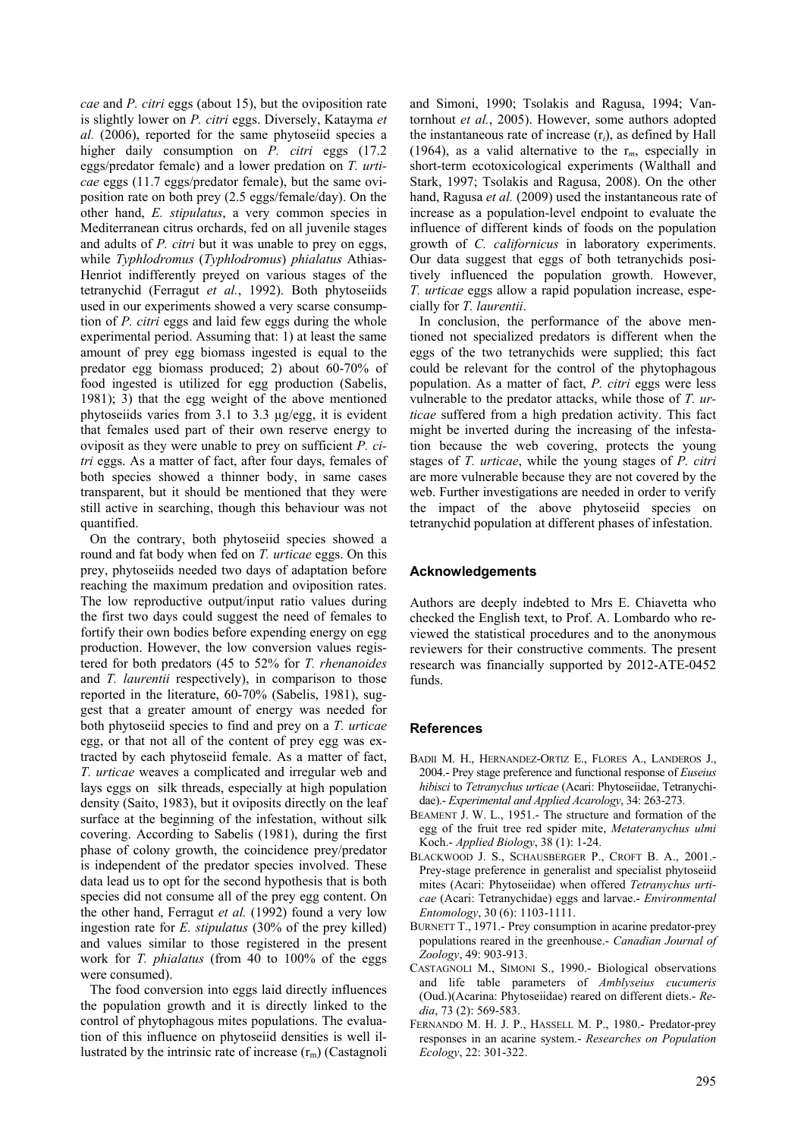*cae* and *P. citri* eggs (about 15), but the oviposition rate is slightly lower on *P. citri* eggs. Diversely, Katayma *et al.* (2006), reported for the same phytoseiid species a higher daily consumption on *P. citri* eggs (17.2 eggs/predator female) and a lower predation on *T. urticae* eggs (11.7 eggs/predator female), but the same oviposition rate on both prey (2.5 eggs/female/day). On the other hand, *E. stipulatus*, a very common species in Mediterranean citrus orchards, fed on all juvenile stages and adults of *P. citri* but it was unable to prey on eggs, while *Typhlodromus* (*Typhlodromus*) *phialatus* Athias-Henriot indifferently preyed on various stages of the tetranychid (Ferragut *et al.*, 1992). Both phytoseiids used in our experiments showed a very scarse consumption of *P. citri* eggs and laid few eggs during the whole experimental period. Assuming that: 1) at least the same amount of prey egg biomass ingested is equal to the predator egg biomass produced; 2) about 60-70% of food ingested is utilized for egg production (Sabelis, 1981); 3) that the egg weight of the above mentioned phytoseiids varies from 3.1 to 3.3 µg/egg, it is evident that females used part of their own reserve energy to oviposit as they were unable to prey on sufficient *P. citri* eggs. As a matter of fact, after four days, females of both species showed a thinner body, in same cases transparent, but it should be mentioned that they were still active in searching, though this behaviour was not quantified.

On the contrary, both phytoseiid species showed a round and fat body when fed on *T. urticae* eggs. On this prey, phytoseiids needed two days of adaptation before reaching the maximum predation and oviposition rates. The low reproductive output/input ratio values during the first two days could suggest the need of females to fortify their own bodies before expending energy on egg production. However, the low conversion values registered for both predators (45 to 52% for *T. rhenanoides* and *T. laurentii* respectively), in comparison to those reported in the literature, 60-70% (Sabelis, 1981), suggest that a greater amount of energy was needed for both phytoseiid species to find and prey on a *T. urticae* egg, or that not all of the content of prey egg was extracted by each phytoseiid female. As a matter of fact, *T. urticae* weaves a complicated and irregular web and lays eggs on silk threads, especially at high population density (Saito, 1983), but it oviposits directly on the leaf surface at the beginning of the infestation, without silk covering. According to Sabelis (1981), during the first phase of colony growth, the coincidence prey/predator is independent of the predator species involved. These data lead us to opt for the second hypothesis that is both species did not consume all of the prey egg content. On the other hand, Ferragut *et al.* (1992) found a very low ingestion rate for *E. stipulatus* (30% of the prey killed) and values similar to those registered in the present work for *T. phialatus* (from 40 to 100% of the eggs were consumed).

The food conversion into eggs laid directly influences the population growth and it is directly linked to the control of phytophagous mites populations. The evaluation of this influence on phytoseiid densities is well illustrated by the intrinsic rate of increase  $(r_m)$  (Castagnoli and Simoni, 1990; Tsolakis and Ragusa, 1994; Vantornhout *et al.*, 2005). However, some authors adopted the instantaneous rate of increase (r*i*), as defined by Hall (1964), as a valid alternative to the  $r_m$ , especially in short-term ecotoxicological experiments (Walthall and Stark, 1997; Tsolakis and Ragusa, 2008). On the other hand, Ragusa *et al.* (2009) used the instantaneous rate of increase as a population-level endpoint to evaluate the influence of different kinds of foods on the population growth of *C. californicus* in laboratory experiments. Our data suggest that eggs of both tetranychids positively influenced the population growth. However, *T. urticae* eggs allow a rapid population increase, especially for *T. laurentii*.

In conclusion, the performance of the above mentioned not specialized predators is different when the eggs of the two tetranychids were supplied; this fact could be relevant for the control of the phytophagous population. As a matter of fact, *P. citri* eggs were less vulnerable to the predator attacks, while those of *T. urticae* suffered from a high predation activity. This fact might be inverted during the increasing of the infestation because the web covering, protects the young stages of *T. urticae*, while the young stages of *P. citri* are more vulnerable because they are not covered by the web. Further investigations are needed in order to verify the impact of the above phytoseiid species on tetranychid population at different phases of infestation.

#### **Acknowledgements**

Authors are deeply indebted to Mrs E. Chiavetta who checked the English text, to Prof. A. Lombardo who reviewed the statistical procedures and to the anonymous reviewers for their constructive comments. The present research was financially supported by 2012-ATE-0452 funds.

#### **References**

- BADII M. H., HERNANDEZ-ORTIZ E., FLORES A., LANDEROS J., 2004.- Prey stage preference and functional response of *Euseius hibisci* to *Tetranychus urticae* (Acari: Phytoseiidae, Tetranychidae).- *Experimental and Applied Acarology*, 34: 263-273.
- BEAMENT J. W. L., 1951.- The structure and formation of the egg of the fruit tree red spider mite, *Metateranychus ulmi* Koch.- *Applied Biology*, 38 (1): 1-24.
- BLACKWOOD J. S., SCHAUSBERGER P., CROFT B. A., 2001.- Prey-stage preference in generalist and specialist phytoseiid mites (Acari: Phytoseiidae) when offered *Tetranychus urticae* (Acari: Tetranychidae) eggs and larvae.- *Environmental Entomology*, 30 (6): 1103-1111.
- BURNETT T., 1971.- Prey consumption in acarine predator-prey populations reared in the greenhouse.- *Canadian Journal of Zoology*, 49: 903-913.
- CASTAGNOLI M., SIMONI S., 1990.- Biological observations and life table parameters of *Amblyseius cucumeris*  (Oud.)(Acarina: Phytoseiidae) reared on different diets.- *Redia*, 73 (2): 569-583.
- FERNANDO M. H. J. P., HASSELL M. P., 1980.- Predator-prey responses in an acarine system.- *Researches on Population Ecology*, 22: 301-322.